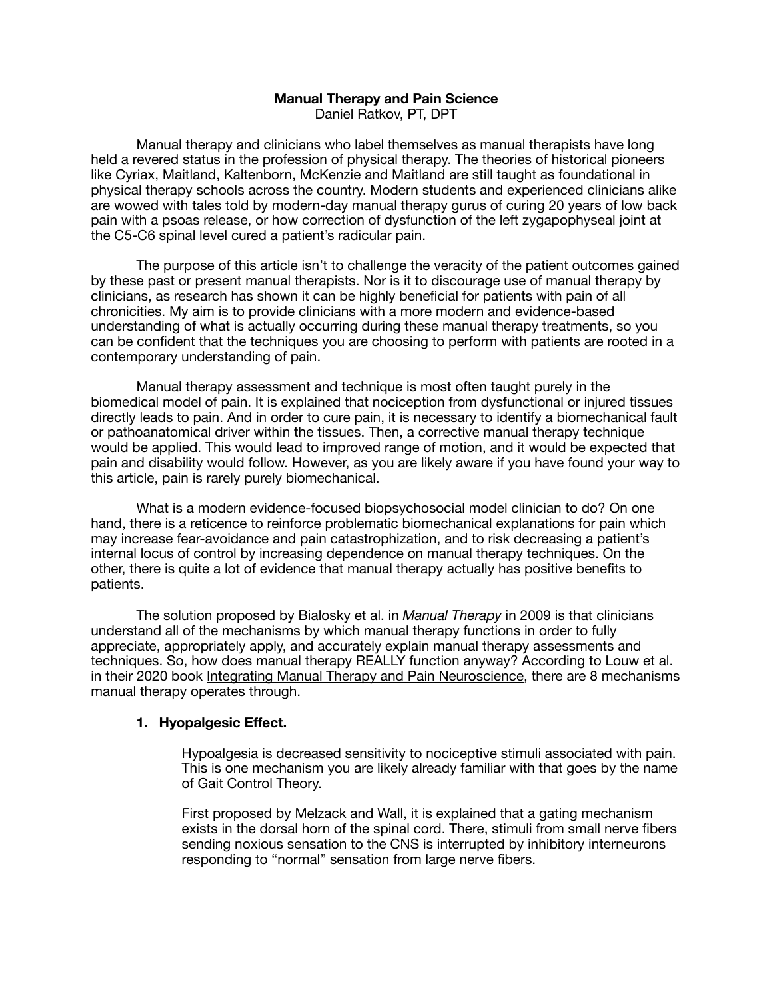## **Manual Therapy and Pain Science**

Daniel Ratkov, PT, DPT

Manual therapy and clinicians who label themselves as manual therapists have long held a revered status in the profession of physical therapy. The theories of historical pioneers like Cyriax, Maitland, Kaltenborn, McKenzie and Maitland are still taught as foundational in physical therapy schools across the country. Modern students and experienced clinicians alike are wowed with tales told by modern-day manual therapy gurus of curing 20 years of low back pain with a psoas release, or how correction of dysfunction of the left zygapophyseal joint at the C5-C6 spinal level cured a patient's radicular pain.

The purpose of this article isn't to challenge the veracity of the patient outcomes gained by these past or present manual therapists. Nor is it to discourage use of manual therapy by clinicians, as research has shown it can be highly beneficial for patients with pain of all chronicities. My aim is to provide clinicians with a more modern and evidence-based understanding of what is actually occurring during these manual therapy treatments, so you can be confident that the techniques you are choosing to perform with patients are rooted in a contemporary understanding of pain.

Manual therapy assessment and technique is most often taught purely in the biomedical model of pain. It is explained that nociception from dysfunctional or injured tissues directly leads to pain. And in order to cure pain, it is necessary to identify a biomechanical fault or pathoanatomical driver within the tissues. Then, a corrective manual therapy technique would be applied. This would lead to improved range of motion, and it would be expected that pain and disability would follow. However, as you are likely aware if you have found your way to this article, pain is rarely purely biomechanical.

What is a modern evidence-focused biopsychosocial model clinician to do? On one hand, there is a reticence to reinforce problematic biomechanical explanations for pain which may increase fear-avoidance and pain catastrophization, and to risk decreasing a patient's internal locus of control by increasing dependence on manual therapy techniques. On the other, there is quite a lot of evidence that manual therapy actually has positive benefits to patients.

The solution proposed by Bialosky et al. in *Manual Therapy* in 2009 is that clinicians understand all of the mechanisms by which manual therapy functions in order to fully appreciate, appropriately apply, and accurately explain manual therapy assessments and techniques. So, how does manual therapy REALLY function anyway? According to Louw et al. in their 2020 book Integrating Manual Therapy and Pain Neuroscience, there are 8 mechanisms manual therapy operates through.

### **1. Hyopalgesic Effect.**

Hypoalgesia is decreased sensitivity to nociceptive stimuli associated with pain. This is one mechanism you are likely already familiar with that goes by the name of Gait Control Theory.

First proposed by Melzack and Wall, it is explained that a gating mechanism exists in the dorsal horn of the spinal cord. There, stimuli from small nerve fibers sending noxious sensation to the CNS is interrupted by inhibitory interneurons responding to "normal" sensation from large nerve fibers.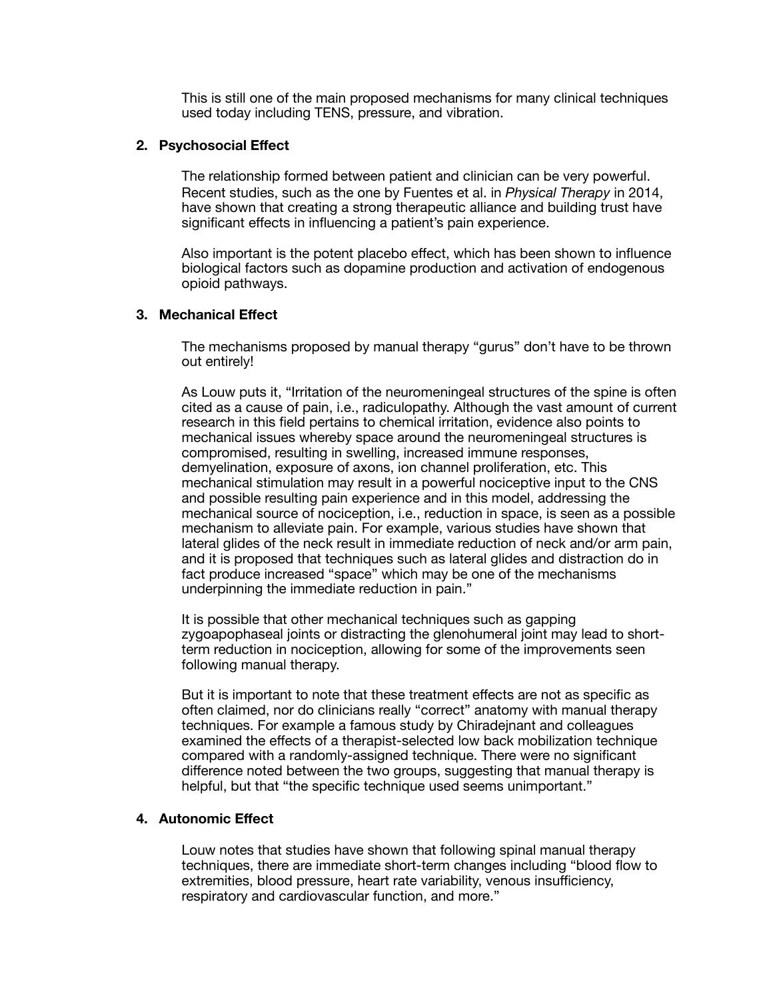This is still one of the main proposed mechanisms for many clinical techniques used today including TENS, pressure, and vibration.

### **2. Psychosocial Effect**

The relationship formed between patient and clinician can be very powerful. Recent studies, such as the one by Fuentes et al. in *Physical Therapy* in 2014, have shown that creating a strong therapeutic alliance and building trust have significant effects in influencing a patient's pain experience.

Also important is the potent placebo effect, which has been shown to influence biological factors such as dopamine production and activation of endogenous opioid pathways.

# **3. Mechanical Effect**

The mechanisms proposed by manual therapy "gurus" don't have to be thrown out entirely!

As Louw puts it, "Irritation of the neuromeningeal structures of the spine is often cited as a cause of pain, i.e., radiculopathy. Although the vast amount of current research in this field pertains to chemical irritation, evidence also points to mechanical issues whereby space around the neuromeningeal structures is compromised, resulting in swelling, increased immune responses, demyelination, exposure of axons, ion channel proliferation, etc. This mechanical stimulation may result in a powerful nociceptive input to the CNS and possible resulting pain experience and in this model, addressing the mechanical source of nociception, i.e., reduction in space, is seen as a possible mechanism to alleviate pain. For example, various studies have shown that lateral glides of the neck result in immediate reduction of neck and/or arm pain, and it is proposed that techniques such as lateral glides and distraction do in fact produce increased "space" which may be one of the mechanisms underpinning the immediate reduction in pain."

It is possible that other mechanical techniques such as gapping zygoapophaseal joints or distracting the glenohumeral joint may lead to shortterm reduction in nociception, allowing for some of the improvements seen following manual therapy.

But it is important to note that these treatment effects are not as specific as often claimed, nor do clinicians really "correct" anatomy with manual therapy techniques. For example a famous study by Chiradejnant and colleagues examined the effects of a therapist-selected low back mobilization technique compared with a randomly-assigned technique. There were no significant difference noted between the two groups, suggesting that manual therapy is helpful, but that "the specific technique used seems unimportant."

### **4. Autonomic Effect**

Louw notes that studies have shown that following spinal manual therapy techniques, there are immediate short-term changes including "blood flow to extremities, blood pressure, heart rate variability, venous insufficiency, respiratory and cardiovascular function, and more."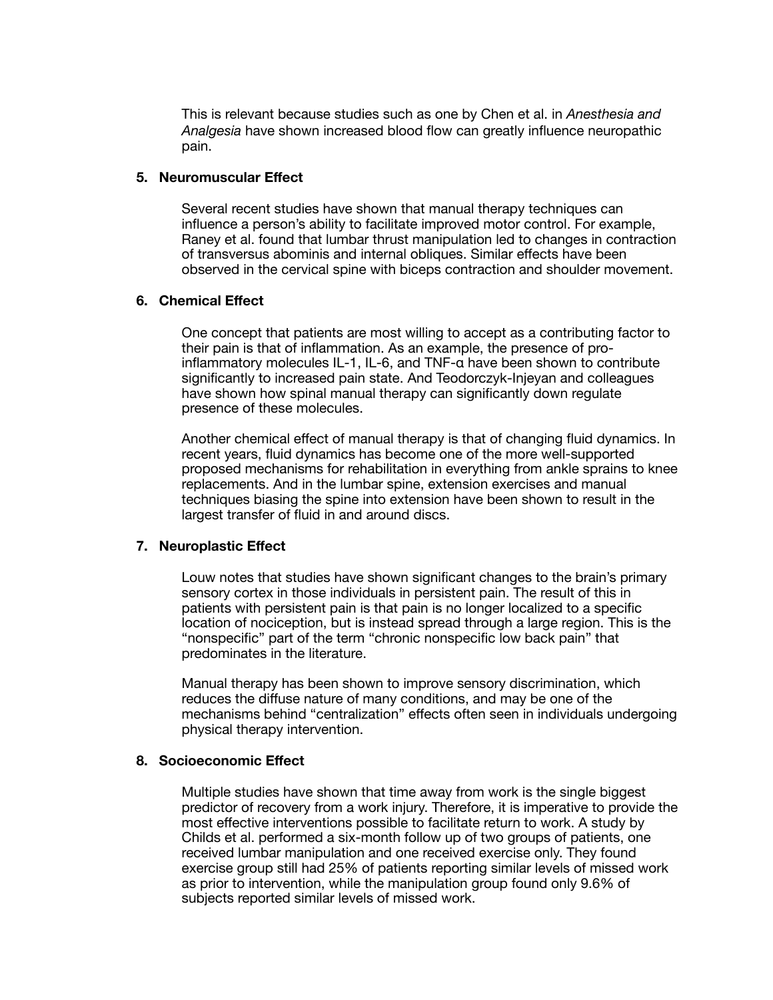This is relevant because studies such as one by Chen et al. in *Anesthesia and Analgesia* have shown increased blood flow can greatly influence neuropathic pain.

#### **5. Neuromuscular Effect**

Several recent studies have shown that manual therapy techniques can influence a person's ability to facilitate improved motor control. For example, Raney et al. found that lumbar thrust manipulation led to changes in contraction of transversus abominis and internal obliques. Similar effects have been observed in the cervical spine with biceps contraction and shoulder movement.

### **6. Chemical Effect**

One concept that patients are most willing to accept as a contributing factor to their pain is that of inflammation. As an example, the presence of proinflammatory molecules IL-1, IL-6, and TNF-α have been shown to contribute significantly to increased pain state. And Teodorczyk-Injeyan and colleagues have shown how spinal manual therapy can significantly down regulate presence of these molecules.

Another chemical effect of manual therapy is that of changing fluid dynamics. In recent years, fluid dynamics has become one of the more well-supported proposed mechanisms for rehabilitation in everything from ankle sprains to knee replacements. And in the lumbar spine, extension exercises and manual techniques biasing the spine into extension have been shown to result in the largest transfer of fluid in and around discs.

### **7. Neuroplastic Effect**

Louw notes that studies have shown significant changes to the brain's primary sensory cortex in those individuals in persistent pain. The result of this in patients with persistent pain is that pain is no longer localized to a specific location of nociception, but is instead spread through a large region. This is the "nonspecific" part of the term "chronic nonspecific low back pain" that predominates in the literature.

Manual therapy has been shown to improve sensory discrimination, which reduces the diffuse nature of many conditions, and may be one of the mechanisms behind "centralization" effects often seen in individuals undergoing physical therapy intervention.

### **8. Socioeconomic Effect**

Multiple studies have shown that time away from work is the single biggest predictor of recovery from a work injury. Therefore, it is imperative to provide the most effective interventions possible to facilitate return to work. A study by Childs et al. performed a six-month follow up of two groups of patients, one received lumbar manipulation and one received exercise only. They found exercise group still had 25% of patients reporting similar levels of missed work as prior to intervention, while the manipulation group found only 9.6% of subjects reported similar levels of missed work.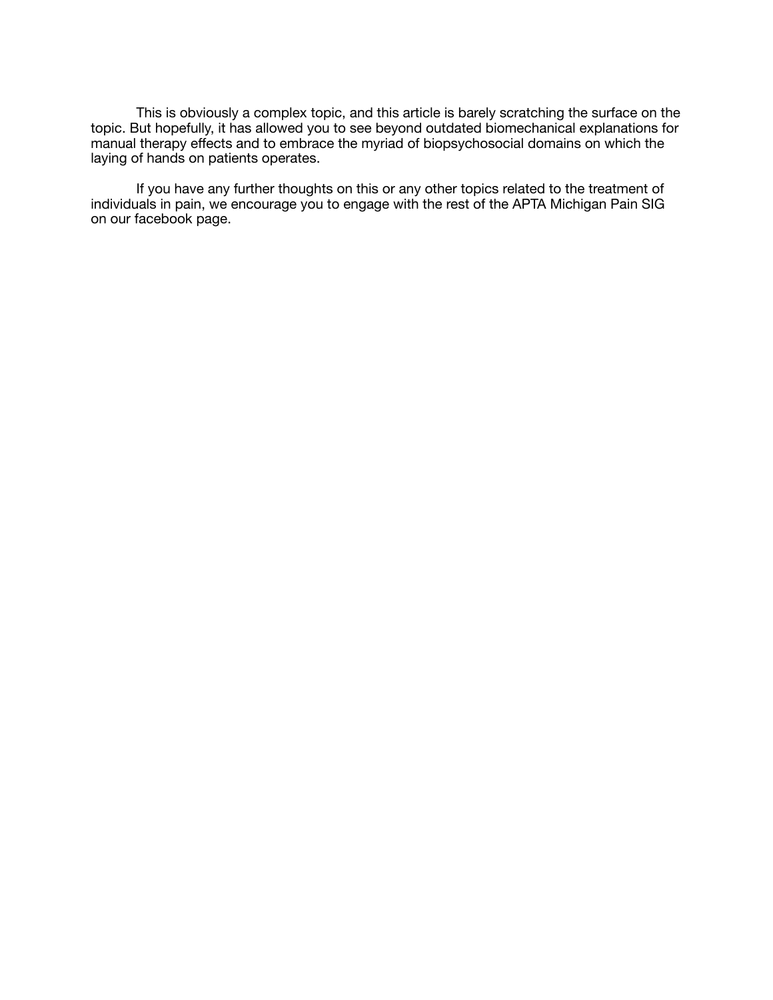This is obviously a complex topic, and this article is barely scratching the surface on the topic. But hopefully, it has allowed you to see beyond outdated biomechanical explanations for manual therapy effects and to embrace the myriad of biopsychosocial domains on which the laying of hands on patients operates.

If you have any further thoughts on this or any other topics related to the treatment of individuals in pain, we encourage you to engage with the rest of the APTA Michigan Pain SIG on our facebook page.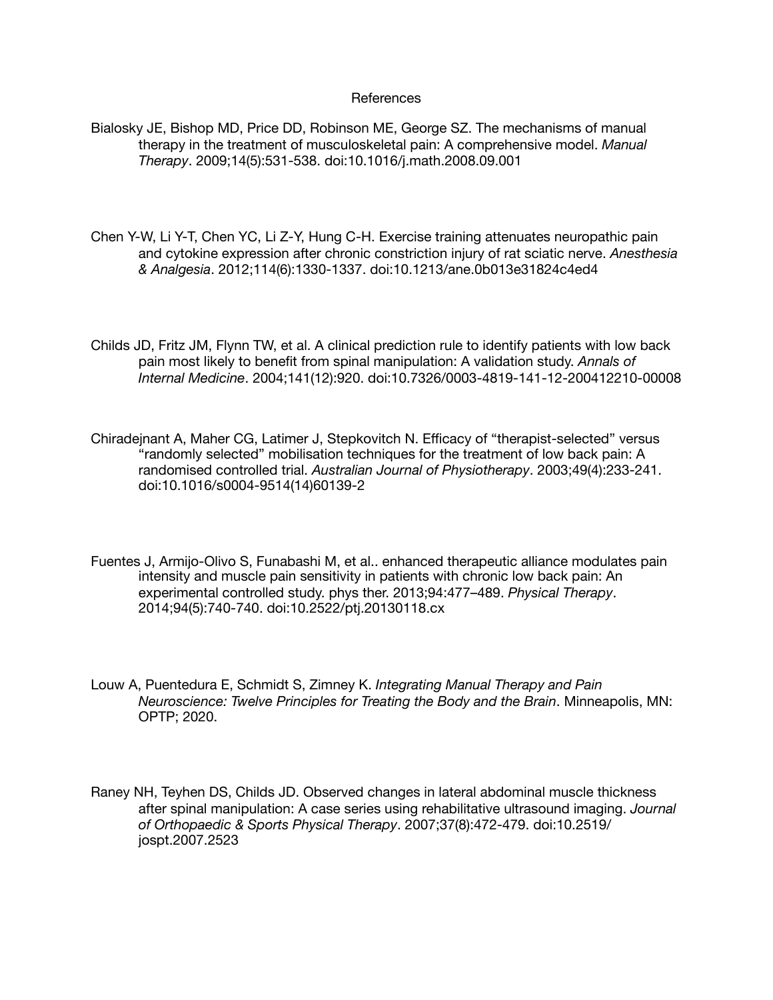#### References

Bialosky JE, Bishop MD, Price DD, Robinson ME, George SZ. The mechanisms of manual therapy in the treatment of musculoskeletal pain: A comprehensive model. *Manual Therapy*. 2009;14(5):531-538. doi:10.1016/j.math.2008.09.001

Chen Y-W, Li Y-T, Chen YC, Li Z-Y, Hung C-H. Exercise training attenuates neuropathic pain and cytokine expression after chronic constriction injury of rat sciatic nerve. *Anesthesia & Analgesia*. 2012;114(6):1330-1337. doi:10.1213/ane.0b013e31824c4ed4

Childs JD, Fritz JM, Flynn TW, et al. A clinical prediction rule to identify patients with low back pain most likely to benefit from spinal manipulation: A validation study. *Annals of Internal Medicine*. 2004;141(12):920. doi:10.7326/0003-4819-141-12-200412210-00008

Chiradejnant A, Maher CG, Latimer J, Stepkovitch N. Efficacy of "therapist-selected" versus "randomly selected" mobilisation techniques for the treatment of low back pain: A randomised controlled trial. *Australian Journal of Physiotherapy*. 2003;49(4):233-241. doi:10.1016/s0004-9514(14)60139-2

Fuentes J, Armijo-Olivo S, Funabashi M, et al.. enhanced therapeutic alliance modulates pain intensity and muscle pain sensitivity in patients with chronic low back pain: An experimental controlled study. phys ther. 2013;94:477–489. *Physical Therapy*. 2014;94(5):740-740. doi:10.2522/ptj.20130118.cx

Louw A, Puentedura E, Schmidt S, Zimney K. *Integrating Manual Therapy and Pain Neuroscience: Twelve Principles for Treating the Body and the Brain*. Minneapolis, MN: OPTP; 2020.

Raney NH, Teyhen DS, Childs JD. Observed changes in lateral abdominal muscle thickness after spinal manipulation: A case series using rehabilitative ultrasound imaging. *Journal of Orthopaedic & Sports Physical Therapy*. 2007;37(8):472-479. doi:10.2519/ jospt.2007.2523